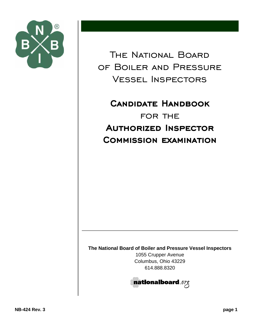

The National Board of Boiler and Pressure Vessel Inspectors

**CANDIDATE HANDBOOK** for the **AUTHORIZED INSPECTOR COMMISSION EXAMINATION** 

**The National Board of Boiler and Pressure Vessel Inspectors**

1055 Crupper Avenue Columbus, Ohio 43229 614.888.8320

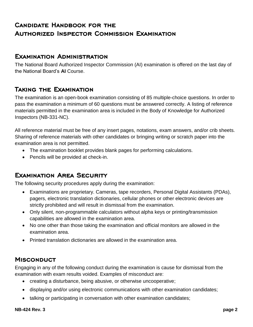# **CANDIDATE HANDBOOK FOR THE AUTHORIZED INSPECTOR COMMISSION EXAMINATION**

#### **EXAMINATION ADMINISTRATION**

The National Board Authorized Inspector Commission (AI) examination is offered on the last day of the National Board's **AI** Course.

## **TAKING THE EXAMINATION**

The examination is an open-book examination consisting of 85 multiple-choice questions. In order to pass the examination a minimum of 60 questions must be answered correctly. A listing of reference materials permitted in the examination area is included in the Body of Knowledge for Authorized Inspectors (NB-331-NC).

All reference material must be free of any insert pages, notations, exam answers, and/or crib sheets. Sharing of reference materials with other candidates or bringing writing or scratch paper into the examination area is not permitted.

- The examination booklet provides blank pages for performing calculations.
- Pencils will be provided at check-in.

# **EXAMINATION AREA SECURITY**

The following security procedures apply during the examination:

- Examinations are proprietary. Cameras, tape recorders, Personal Digital Assistants (PDAs), pagers, electronic translation dictionaries, cellular phones or other electronic devices are strictly prohibited and will result in dismissal from the examination.
- Only silent, non-programmable calculators without alpha keys or printing/transmission capabilities are allowed in the examination area.
- No one other than those taking the examination and official monitors are allowed in the examination area.
- Printed translation dictionaries are allowed in the examination area.

#### **MISCONDUCT**

Engaging in any of the following conduct during the examination is cause for dismissal from the examination with exam results voided. Examples of misconduct are:

- creating a disturbance, being abusive, or otherwise uncooperative;
- displaying and/or using electronic communications with other examination candidates;
- talking or participating in conversation with other examination candidates;